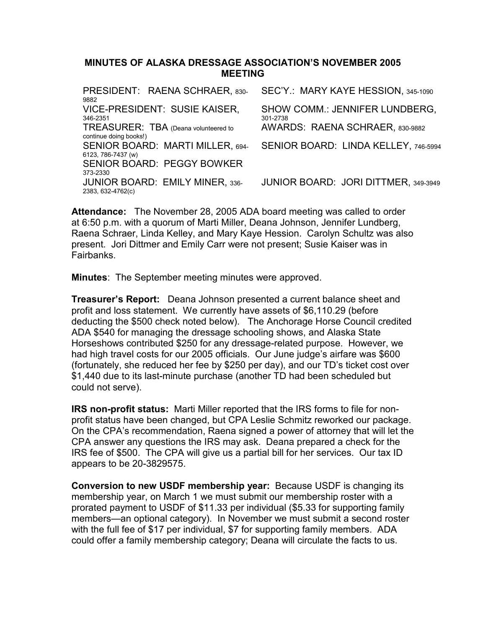#### MINUTES OF ALASKA DRESSAGE ASSOCIATION'S NOVEMBER 2005 MEETING

| PRESIDENT: RAENA SCHRAER, 830-<br>9882                         | SEC'Y.: MARY KAYE HESSION, 345-1090        |
|----------------------------------------------------------------|--------------------------------------------|
| VICE-PRESIDENT: SUSIE KAISER,<br>346-2351                      | SHOW COMM.: JENNIFER LUNDBERG,<br>301-2738 |
| TREASURER: TBA (Deana volunteered to<br>continue doing books!) | AWARDS: RAENA SCHRAER, 830-9882            |
| SENIOR BOARD: MARTI MILLER, 694-<br>6123, 786-7437 (w)         | SENIOR BOARD: LINDA KELLEY, 746-5994       |
| <b>SENIOR BOARD: PEGGY BOWKER</b><br>373-2330                  |                                            |
| <b>JUNIOR BOARD: EMILY MINER, 336-</b><br>2383, 632-4762(c)    | JUNIOR BOARD: JORI DITTMER, 349-3949       |

Attendance: The November 28, 2005 ADA board meeting was called to order at 6:50 p.m. with a quorum of Marti Miller, Deana Johnson, Jennifer Lundberg, Raena Schraer, Linda Kelley, and Mary Kaye Hession. Carolyn Schultz was also present. Jori Dittmer and Emily Carr were not present; Susie Kaiser was in **Fairbanks** 

Minutes: The September meeting minutes were approved.

Treasurer's Report: Deana Johnson presented a current balance sheet and profit and loss statement. We currently have assets of \$6,110.29 (before deducting the \$500 check noted below). The Anchorage Horse Council credited ADA \$540 for managing the dressage schooling shows, and Alaska State Horseshows contributed \$250 for any dressage-related purpose. However, we had high travel costs for our 2005 officials. Our June judge's airfare was \$600 (fortunately, she reduced her fee by \$250 per day), and our TD's ticket cost over \$1,440 due to its last-minute purchase (another TD had been scheduled but could not serve).

IRS non-profit status: Marti Miller reported that the IRS forms to file for nonprofit status have been changed, but CPA Leslie Schmitz reworked our package. On the CPA's recommendation, Raena signed a power of attorney that will let the CPA answer any questions the IRS may ask. Deana prepared a check for the IRS fee of \$500. The CPA will give us a partial bill for her services. Our tax ID appears to be 20-3829575.

Conversion to new USDF membership year: Because USDF is changing its membership year, on March 1 we must submit our membership roster with a prorated payment to USDF of \$11.33 per individual (\$5.33 for supporting family members—an optional category). In November we must submit a second roster with the full fee of \$17 per individual, \$7 for supporting family members. ADA could offer a family membership category; Deana will circulate the facts to us.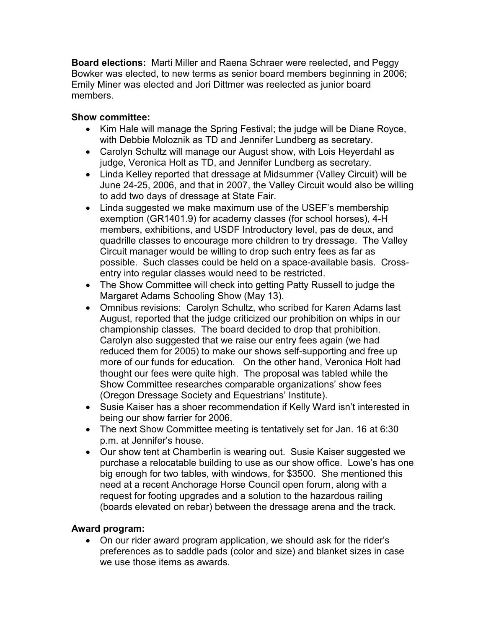Board elections: Marti Miller and Raena Schraer were reelected, and Peggy Bowker was elected, to new terms as senior board members beginning in 2006; Emily Miner was elected and Jori Dittmer was reelected as junior board members.

# Show committee:

- Kim Hale will manage the Spring Festival; the judge will be Diane Royce, with Debbie Moloznik as TD and Jennifer Lundberg as secretary.
- Carolyn Schultz will manage our August show, with Lois Heyerdahl as judge, Veronica Holt as TD, and Jennifer Lundberg as secretary.
- Linda Kelley reported that dressage at Midsummer (Valley Circuit) will be June 24-25, 2006, and that in 2007, the Valley Circuit would also be willing to add two days of dressage at State Fair.
- Linda suggested we make maximum use of the USEF's membership exemption (GR1401.9) for academy classes (for school horses), 4-H members, exhibitions, and USDF Introductory level, pas de deux, and quadrille classes to encourage more children to try dressage. The Valley Circuit manager would be willing to drop such entry fees as far as possible. Such classes could be held on a space-available basis. Crossentry into regular classes would need to be restricted.
- The Show Committee will check into getting Patty Russell to judge the Margaret Adams Schooling Show (May 13).
- Omnibus revisions: Carolyn Schultz, who scribed for Karen Adams last August, reported that the judge criticized our prohibition on whips in our championship classes. The board decided to drop that prohibition. Carolyn also suggested that we raise our entry fees again (we had reduced them for 2005) to make our shows self-supporting and free up more of our funds for education. On the other hand, Veronica Holt had thought our fees were quite high. The proposal was tabled while the Show Committee researches comparable organizations' show fees (Oregon Dressage Society and Equestrians' Institute).
- Susie Kaiser has a shoer recommendation if Kelly Ward isn't interested in being our show farrier for 2006.
- The next Show Committee meeting is tentatively set for Jan. 16 at 6:30 p.m. at Jennifer's house.
- Our show tent at Chamberlin is wearing out. Susie Kaiser suggested we purchase a relocatable building to use as our show office. Lowe's has one big enough for two tables, with windows, for \$3500. She mentioned this need at a recent Anchorage Horse Council open forum, along with a request for footing upgrades and a solution to the hazardous railing (boards elevated on rebar) between the dressage arena and the track.

### Award program:

• On our rider award program application, we should ask for the rider's preferences as to saddle pads (color and size) and blanket sizes in case we use those items as awards.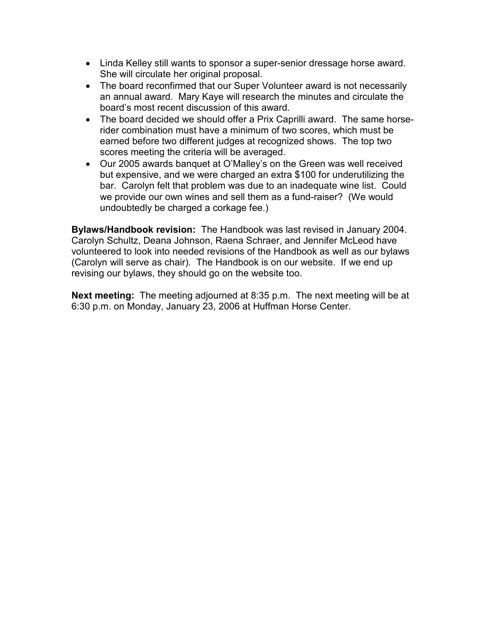- Linda Kelley still wants to sponsor a super-senior dressage horse award. She will circulate her original proposal.
- The board reconfirmed that our Super Volunteer award is not necessarily an annual award. Mary Kaye will research the minutes and circulate the board's most recent discussion of this award.
- The board decided we should offer a Prix Caprilli award. The same horserider combination must have a minimum of two scores, which must be earned before two different judges at recognized shows. The top two scores meeting the criteria will be averaged.
- Our 2005 awards banquet at O'Malley's on the Green was well received but expensive, and we were charged an extra \$100 for underutilizing the bar. Carolyn felt that problem was due to an inadequate wine list. Could we provide our own wines and sell them as a fund-raiser? (We would undoubtedly be charged a corkage fee.)

Bylaws/Handbook revision: The Handbook was last revised in January 2004. Carolyn Schultz, Deana Johnson, Raena Schraer, and Jennifer McLeod have volunteered to look into needed revisions of the Handbook as well as our bylaws (Carolyn will serve as chair). The Handbook is on our website. If we end up revising our bylaws, they should go on the website too.

Next meeting: The meeting adjourned at 8:35 p.m. The next meeting will be at 6:30 p.m. on Monday, January 23, 2006 at Huffman Horse Center.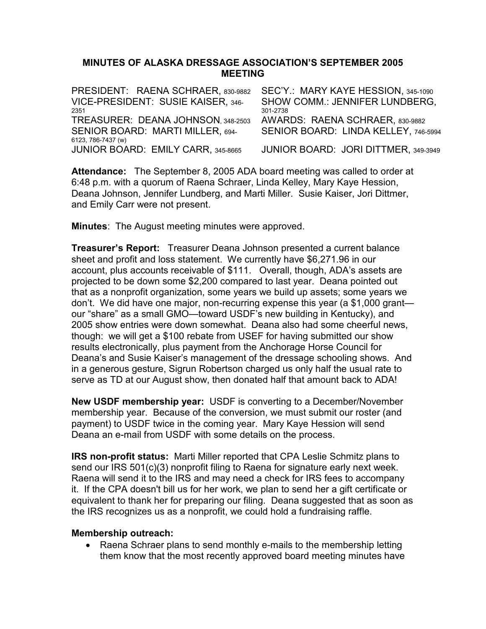### MINUTES OF ALASKA DRESSAGE ASSOCIATION'S SEPTEMBER 2005 MEETING

| SEC'Y.: MARY KAYE HESSION, 345-1090   |
|---------------------------------------|
| <b>SHOW COMM.: JENNIFER LUNDBERG,</b> |
| 301-2738                              |
| AWARDS: RAENA SCHRAER, 830-9882       |
| SENIOR BOARD: LINDA KELLEY, 746-5994  |
|                                       |
| JUNIOR BOARD: JORI DITTMER, 349-3949  |
|                                       |

Attendance: The September 8, 2005 ADA board meeting was called to order at 6:48 p.m. with a quorum of Raena Schraer, Linda Kelley, Mary Kaye Hession, Deana Johnson, Jennifer Lundberg, and Marti Miller. Susie Kaiser, Jori Dittmer, and Emily Carr were not present.

**Minutes:** The August meeting minutes were approved.

**Treasurer's Report:** Treasurer Deana Johnson presented a current balance sheet and profit and loss statement. We currently have \$6,271.96 in our account, plus accounts receivable of \$111. Overall, though, ADA's assets are projected to be down some \$2,200 compared to last year. Deana pointed out that as a nonprofit organization, some years we build up assets; some years we don't. We did have one major, non-recurring expense this year (a \$1,000 grant our "share" as a small GMO—toward USDF's new building in Kentucky), and 2005 show entries were down somewhat. Deana also had some cheerful news, though: we will get a \$100 rebate from USEF for having submitted our show results electronically, plus payment from the Anchorage Horse Council for Deana's and Susie Kaiser's management of the dressage schooling shows. And in a generous gesture, Sigrun Robertson charged us only half the usual rate to serve as TD at our August show, then donated half that amount back to ADA!

New USDF membership year: USDF is converting to a December/November membership year. Because of the conversion, we must submit our roster (and payment) to USDF twice in the coming year. Mary Kaye Hession will send Deana an e-mail from USDF with some details on the process.

IRS non-profit status: Marti Miller reported that CPA Leslie Schmitz plans to send our IRS 501(c)(3) nonprofit filing to Raena for signature early next week. Raena will send it to the IRS and may need a check for IRS fees to accompany it. If the CPA doesn't bill us for her work, we plan to send her a gift certificate or equivalent to thank her for preparing our filing. Deana suggested that as soon as the IRS recognizes us as a nonprofit, we could hold a fundraising raffle.

### Membership outreach:

• Raena Schraer plans to send monthly e-mails to the membership letting them know that the most recently approved board meeting minutes have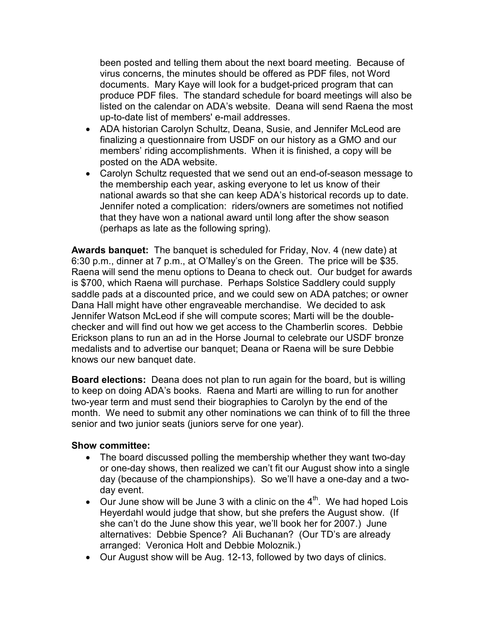been posted and telling them about the next board meeting. Because of virus concerns, the minutes should be offered as PDF files, not Word documents. Mary Kaye will look for a budget-priced program that can produce PDF files. The standard schedule for board meetings will also be listed on the calendar on ADA's website. Deana will send Raena the most up-to-date list of members' e-mail addresses.

- ADA historian Carolyn Schultz, Deana, Susie, and Jennifer McLeod are finalizing a questionnaire from USDF on our history as a GMO and our members' riding accomplishments. When it is finished, a copy will be posted on the ADA website.
- Carolyn Schultz requested that we send out an end-of-season message to the membership each year, asking everyone to let us know of their national awards so that she can keep ADA's historical records up to date. Jennifer noted a complication: riders/owners are sometimes not notified that they have won a national award until long after the show season (perhaps as late as the following spring).

Awards banquet: The banquet is scheduled for Friday, Nov. 4 (new date) at 6:30 p.m., dinner at 7 p.m., at O'Malley's on the Green. The price will be \$35. Raena will send the menu options to Deana to check out. Our budget for awards is \$700, which Raena will purchase. Perhaps Solstice Saddlery could supply saddle pads at a discounted price, and we could sew on ADA patches; or owner Dana Hall might have other engraveable merchandise. We decided to ask Jennifer Watson McLeod if she will compute scores; Marti will be the doublechecker and will find out how we get access to the Chamberlin scores. Debbie Erickson plans to run an ad in the Horse Journal to celebrate our USDF bronze medalists and to advertise our banquet; Deana or Raena will be sure Debbie knows our new banquet date.

Board elections: Deana does not plan to run again for the board, but is willing to keep on doing ADA's books. Raena and Marti are willing to run for another two-year term and must send their biographies to Carolyn by the end of the month. We need to submit any other nominations we can think of to fill the three senior and two junior seats (juniors serve for one year).

- The board discussed polling the membership whether they want two-day or one-day shows, then realized we can't fit our August show into a single day (because of the championships). So we'll have a one-day and a twoday event.
- Our June show will be June 3 with a clinic on the  $4<sup>th</sup>$ . We had hoped Lois Heyerdahl would judge that show, but she prefers the August show. (If she can't do the June show this year, we'll book her for 2007.) June alternatives: Debbie Spence? Ali Buchanan? (Our TD's are already arranged: Veronica Holt and Debbie Moloznik.)
- Our August show will be Aug. 12-13, followed by two days of clinics.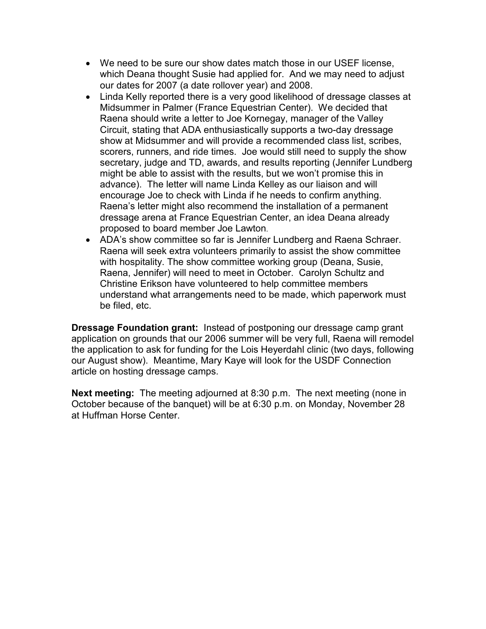- We need to be sure our show dates match those in our USEF license. which Deana thought Susie had applied for. And we may need to adjust our dates for 2007 (a date rollover year) and 2008.
- Linda Kelly reported there is a very good likelihood of dressage classes at Midsummer in Palmer (France Equestrian Center). We decided that Raena should write a letter to Joe Kornegay, manager of the Valley Circuit, stating that ADA enthusiastically supports a two-day dressage show at Midsummer and will provide a recommended class list, scribes, scorers, runners, and ride times. Joe would still need to supply the show secretary, judge and TD, awards, and results reporting (Jennifer Lundberg might be able to assist with the results, but we won't promise this in advance). The letter will name Linda Kelley as our liaison and will encourage Joe to check with Linda if he needs to confirm anything. Raena's letter might also recommend the installation of a permanent dressage arena at France Equestrian Center, an idea Deana already proposed to board member Joe Lawton.
- ADA's show committee so far is Jennifer Lundberg and Raena Schraer. Raena will seek extra volunteers primarily to assist the show committee with hospitality. The show committee working group (Deana, Susie, Raena, Jennifer) will need to meet in October. Carolyn Schultz and Christine Erikson have volunteered to help committee members understand what arrangements need to be made, which paperwork must be filed, etc.

Dressage Foundation grant: Instead of postponing our dressage camp grant application on grounds that our 2006 summer will be very full, Raena will remodel the application to ask for funding for the Lois Heyerdahl clinic (two days, following our August show). Meantime, Mary Kaye will look for the USDF Connection article on hosting dressage camps.

Next meeting: The meeting adjourned at 8:30 p.m. The next meeting (none in October because of the banquet) will be at 6:30 p.m. on Monday, November 28 at Huffman Horse Center.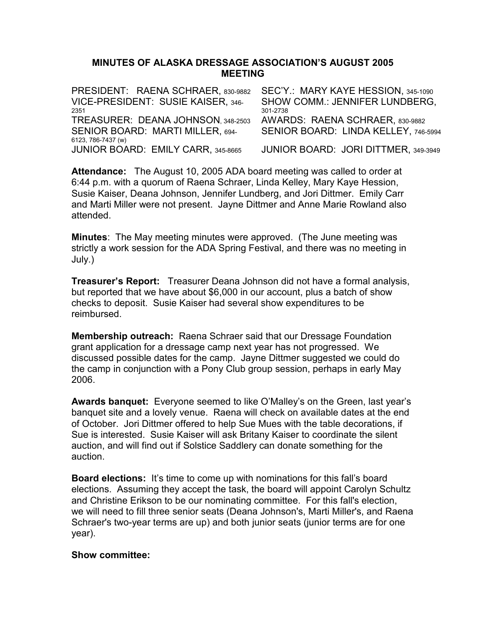### MINUTES OF ALASKA DRESSAGE ASSOCIATION'S AUGUST 2005 MEETING

PRESIDENT: RAENA SCHRAER, 830-9882 SEC'Y.: MARY KAYE HESSION, 345-1090 VICE-PRESIDENT: SUSIE KAISER, 346- <sup>2351</sup> SHOW COMM.: JENNIFER LUNDBERG, 301-2738 TREASURER: DEANA JOHNSON, 348-2503 AWARDS: RAENA SCHRAER, 830-9882 SENIOR BOARD: MARTI MILLER, 694- 6123, 786-7437 (w) SENIOR BOARD: LINDA KELLEY, 746-5994 JUNIOR BOARD: EMILY CARR, 345-8665 JUNIOR BOARD: JORI DITTMER, 349-3949

Attendance: The August 10, 2005 ADA board meeting was called to order at 6:44 p.m. with a quorum of Raena Schraer, Linda Kelley, Mary Kaye Hession, Susie Kaiser, Deana Johnson, Jennifer Lundberg, and Jori Dittmer. Emily Carr and Marti Miller were not present. Jayne Dittmer and Anne Marie Rowland also attended.

Minutes: The May meeting minutes were approved. (The June meeting was strictly a work session for the ADA Spring Festival, and there was no meeting in July.)

**Treasurer's Report:** Treasurer Deana Johnson did not have a formal analysis, but reported that we have about \$6,000 in our account, plus a batch of show checks to deposit. Susie Kaiser had several show expenditures to be reimbursed.

Membership outreach: Raena Schraer said that our Dressage Foundation grant application for a dressage camp next year has not progressed. We discussed possible dates for the camp. Jayne Dittmer suggested we could do the camp in conjunction with a Pony Club group session, perhaps in early May 2006.

Awards banquet: Everyone seemed to like O'Malley's on the Green, last year's banquet site and a lovely venue. Raena will check on available dates at the end of October. Jori Dittmer offered to help Sue Mues with the table decorations, if Sue is interested. Susie Kaiser will ask Britany Kaiser to coordinate the silent auction, and will find out if Solstice Saddlery can donate something for the auction.

Board elections: It's time to come up with nominations for this fall's board elections. Assuming they accept the task, the board will appoint Carolyn Schultz and Christine Erikson to be our nominating committee. For this fall's election, we will need to fill three senior seats (Deana Johnson's, Marti Miller's, and Raena Schraer's two-year terms are up) and both junior seats (junior terms are for one year).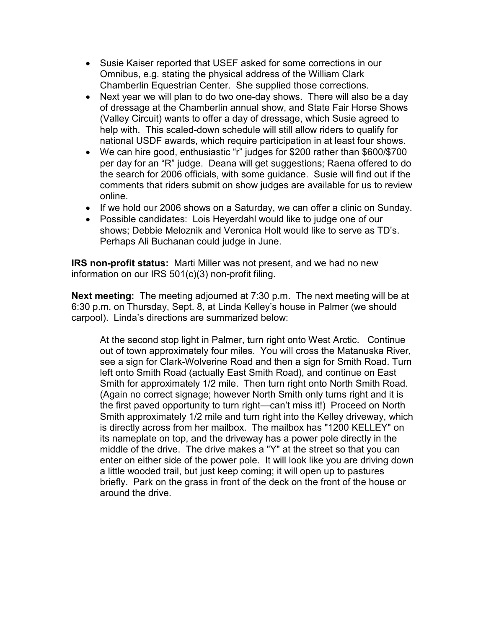- Susie Kaiser reported that USEF asked for some corrections in our Omnibus, e.g. stating the physical address of the William Clark Chamberlin Equestrian Center. She supplied those corrections.
- Next year we will plan to do two one-day shows. There will also be a day of dressage at the Chamberlin annual show, and State Fair Horse Shows (Valley Circuit) wants to offer a day of dressage, which Susie agreed to help with. This scaled-down schedule will still allow riders to qualify for national USDF awards, which require participation in at least four shows.
- We can hire good, enthusiastic "r" judges for \$200 rather than \$600/\$700 per day for an "R" judge. Deana will get suggestions; Raena offered to do the search for 2006 officials, with some guidance. Susie will find out if the comments that riders submit on show judges are available for us to review online.
- If we hold our 2006 shows on a Saturday, we can offer a clinic on Sunday.
- Possible candidates: Lois Heyerdahl would like to judge one of our shows; Debbie Meloznik and Veronica Holt would like to serve as TD's. Perhaps Ali Buchanan could judge in June.

IRS non-profit status: Marti Miller was not present, and we had no new information on our IRS 501(c)(3) non-profit filing.

Next meeting: The meeting adjourned at 7:30 p.m. The next meeting will be at 6:30 p.m. on Thursday, Sept. 8, at Linda Kelley's house in Palmer (we should carpool). Linda's directions are summarized below:

At the second stop light in Palmer, turn right onto West Arctic. Continue out of town approximately four miles. You will cross the Matanuska River, see a sign for Clark-Wolverine Road and then a sign for Smith Road. Turn left onto Smith Road (actually East Smith Road), and continue on East Smith for approximately 1/2 mile. Then turn right onto North Smith Road. (Again no correct signage; however North Smith only turns right and it is the first paved opportunity to turn right—can't miss it!) Proceed on North Smith approximately 1/2 mile and turn right into the Kelley driveway, which is directly across from her mailbox. The mailbox has "1200 KELLEY" on its nameplate on top, and the driveway has a power pole directly in the middle of the drive. The drive makes a "Y" at the street so that you can enter on either side of the power pole. It will look like you are driving down a little wooded trail, but just keep coming; it will open up to pastures briefly. Park on the grass in front of the deck on the front of the house or around the drive.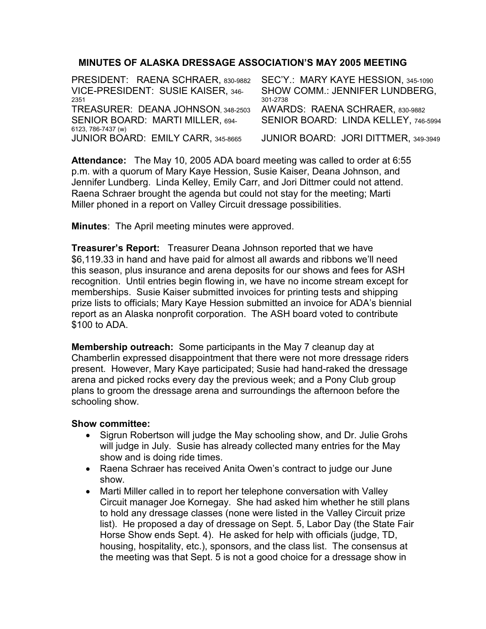### MINUTES OF ALASKA DRESSAGE ASSOCIATION'S MAY 2005 MEETING

PRESIDENT: RAENA SCHRAER, 830-9882 SEC'Y.: MARY KAYE HESSION, 345-1090 VICE-PRESIDENT: SUSIE KAISER, 346- <sup>2351</sup> SHOW COMM.: JENNIFER LUNDBERG, 301-2738<br>AWARDS: RAENA SCHRAER, 830-9882 TREASURER: DEANA JOHNSON, 348-2503 SENIOR BOARD: MARTI MILLER, 694- 6123, 786-7437 (w) SENIOR BOARD: LINDA KELLEY, 746-5994 JUNIOR BOARD: EMILY CARR, 345-8665 JUNIOR BOARD: JORI DITTMER, 349-3949

Attendance: The May 10, 2005 ADA board meeting was called to order at 6:55 p.m. with a quorum of Mary Kaye Hession, Susie Kaiser, Deana Johnson, and Jennifer Lundberg. Linda Kelley, Emily Carr, and Jori Dittmer could not attend. Raena Schraer brought the agenda but could not stay for the meeting; Marti Miller phoned in a report on Valley Circuit dressage possibilities.

Minutes: The April meeting minutes were approved.

**Treasurer's Report:** Treasurer Deana Johnson reported that we have \$6,119.33 in hand and have paid for almost all awards and ribbons we'll need this season, plus insurance and arena deposits for our shows and fees for ASH recognition. Until entries begin flowing in, we have no income stream except for memberships. Susie Kaiser submitted invoices for printing tests and shipping prize lists to officials; Mary Kaye Hession submitted an invoice for ADA's biennial report as an Alaska nonprofit corporation. The ASH board voted to contribute \$100 to ADA.

Membership outreach: Some participants in the May 7 cleanup day at Chamberlin expressed disappointment that there were not more dressage riders present. However, Mary Kaye participated; Susie had hand-raked the dressage arena and picked rocks every day the previous week; and a Pony Club group plans to groom the dressage arena and surroundings the afternoon before the schooling show.

- Sigrun Robertson will judge the May schooling show, and Dr. Julie Grohs will judge in July. Susie has already collected many entries for the May show and is doing ride times.
- Raena Schraer has received Anita Owen's contract to judge our June show.
- Marti Miller called in to report her telephone conversation with Valley Circuit manager Joe Kornegay. She had asked him whether he still plans to hold any dressage classes (none were listed in the Valley Circuit prize list). He proposed a day of dressage on Sept. 5, Labor Day (the State Fair Horse Show ends Sept. 4). He asked for help with officials (judge, TD, housing, hospitality, etc.), sponsors, and the class list. The consensus at the meeting was that Sept. 5 is not a good choice for a dressage show in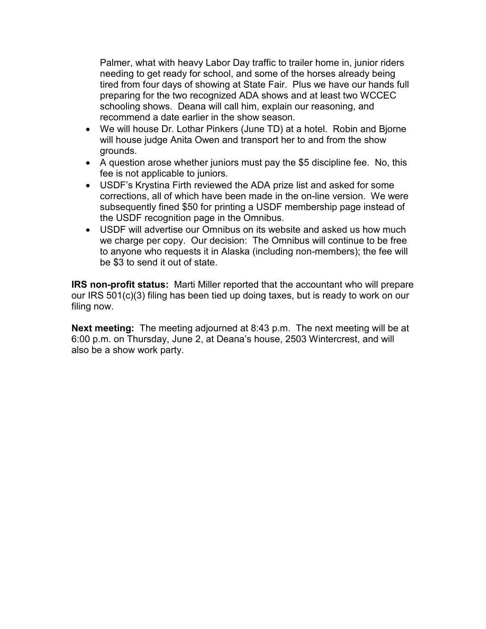Palmer, what with heavy Labor Day traffic to trailer home in, junior riders needing to get ready for school, and some of the horses already being tired from four days of showing at State Fair. Plus we have our hands full preparing for the two recognized ADA shows and at least two WCCEC schooling shows. Deana will call him, explain our reasoning, and recommend a date earlier in the show season.

- We will house Dr. Lothar Pinkers (June TD) at a hotel. Robin and Bjorne will house judge Anita Owen and transport her to and from the show grounds.
- A question arose whether juniors must pay the \$5 discipline fee. No, this fee is not applicable to juniors.
- USDF's Krystina Firth reviewed the ADA prize list and asked for some corrections, all of which have been made in the on-line version. We were subsequently fined \$50 for printing a USDF membership page instead of the USDF recognition page in the Omnibus.
- USDF will advertise our Omnibus on its website and asked us how much we charge per copy. Our decision: The Omnibus will continue to be free to anyone who requests it in Alaska (including non-members); the fee will be \$3 to send it out of state.

IRS non-profit status: Marti Miller reported that the accountant who will prepare our IRS 501(c)(3) filing has been tied up doing taxes, but is ready to work on our filing now.

Next meeting: The meeting adjourned at 8:43 p.m. The next meeting will be at 6:00 p.m. on Thursday, June 2, at Deana's house, 2503 Wintercrest, and will also be a show work party.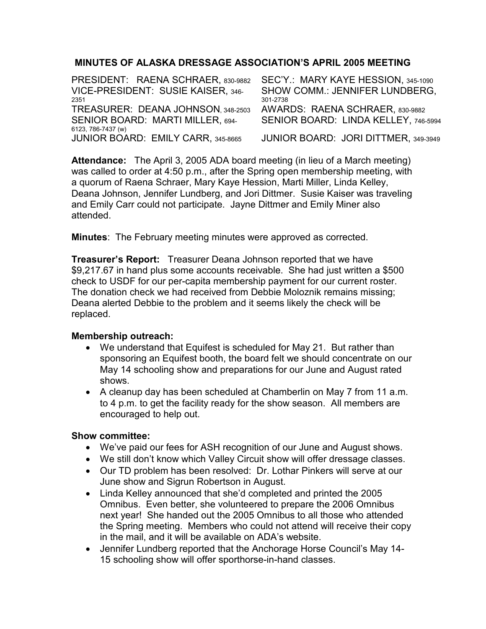## MINUTES OF ALASKA DRESSAGE ASSOCIATION'S APRIL 2005 MEETING

| PRESIDENT: RAENA SCHRAER, 830-9882 | SEC'Y.: MARY KAYE HESSION, 345-1090   |
|------------------------------------|---------------------------------------|
| VICE-PRESIDENT: SUSIE KAISER, 346- | <b>SHOW COMM.: JENNIFER LUNDBERG.</b> |
| 2351                               | 301-2738                              |
| TREASURER: DEANA JOHNSON, 348-2503 | AWARDS: RAENA SCHRAER, 830-9882       |
| SENIOR BOARD: MARTI MILLER, 694-   | SENIOR BOARD: LINDA KELLEY, 746-5994  |
| 6123, 786-7437 (w)                 |                                       |
| JUNIOR BOARD: EMILY CARR, 345-8665 | JUNIOR BOARD: JORI DITTMER, 349-3949  |

Attendance: The April 3, 2005 ADA board meeting (in lieu of a March meeting) was called to order at 4:50 p.m., after the Spring open membership meeting, with a quorum of Raena Schraer, Mary Kaye Hession, Marti Miller, Linda Kelley, Deana Johnson, Jennifer Lundberg, and Jori Dittmer. Susie Kaiser was traveling and Emily Carr could not participate. Jayne Dittmer and Emily Miner also attended.

Minutes: The February meeting minutes were approved as corrected.

**Treasurer's Report:** Treasurer Deana Johnson reported that we have \$9,217.67 in hand plus some accounts receivable. She had just written a \$500 check to USDF for our per-capita membership payment for our current roster. The donation check we had received from Debbie Moloznik remains missing; Deana alerted Debbie to the problem and it seems likely the check will be replaced.

### Membership outreach:

- We understand that Equifest is scheduled for May 21. But rather than sponsoring an Equifest booth, the board felt we should concentrate on our May 14 schooling show and preparations for our June and August rated shows.
- A cleanup day has been scheduled at Chamberlin on May 7 from 11 a.m. to 4 p.m. to get the facility ready for the show season. All members are encouraged to help out.

- We've paid our fees for ASH recognition of our June and August shows.
- We still don't know which Valley Circuit show will offer dressage classes.
- Our TD problem has been resolved: Dr. Lothar Pinkers will serve at our June show and Sigrun Robertson in August.
- Linda Kelley announced that she'd completed and printed the 2005 Omnibus. Even better, she volunteered to prepare the 2006 Omnibus next year! She handed out the 2005 Omnibus to all those who attended the Spring meeting. Members who could not attend will receive their copy in the mail, and it will be available on ADA's website.
- Jennifer Lundberg reported that the Anchorage Horse Council's May 14- 15 schooling show will offer sporthorse-in-hand classes.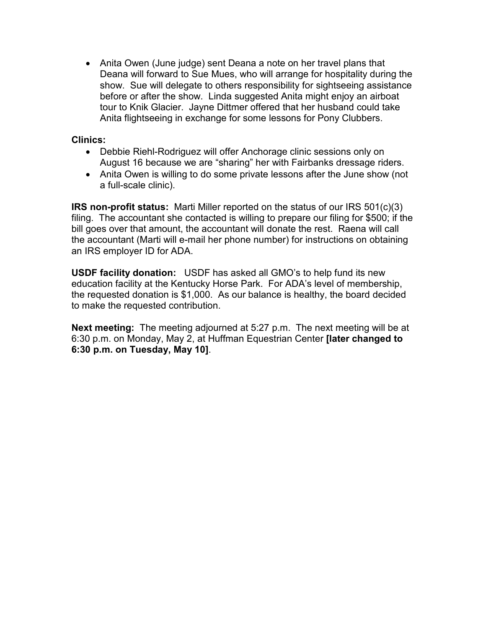• Anita Owen (June judge) sent Deana a note on her travel plans that Deana will forward to Sue Mues, who will arrange for hospitality during the show. Sue will delegate to others responsibility for sightseeing assistance before or after the show. Linda suggested Anita might enjoy an airboat tour to Knik Glacier. Jayne Dittmer offered that her husband could take Anita flightseeing in exchange for some lessons for Pony Clubbers.

Clinics:

- Debbie Riehl-Rodriguez will offer Anchorage clinic sessions only on August 16 because we are "sharing" her with Fairbanks dressage riders.
- Anita Owen is willing to do some private lessons after the June show (not a full-scale clinic).

IRS non-profit status: Marti Miller reported on the status of our IRS 501(c)(3) filing. The accountant she contacted is willing to prepare our filing for \$500; if the bill goes over that amount, the accountant will donate the rest. Raena will call the accountant (Marti will e-mail her phone number) for instructions on obtaining an IRS employer ID for ADA.

USDF facility donation: USDF has asked all GMO's to help fund its new education facility at the Kentucky Horse Park. For ADA's level of membership, the requested donation is \$1,000. As our balance is healthy, the board decided to make the requested contribution.

Next meeting: The meeting adjourned at 5:27 p.m. The next meeting will be at 6:30 p.m. on Monday, May 2, at Huffman Equestrian Center **[later changed to** 6:30 p.m. on Tuesday, May 10].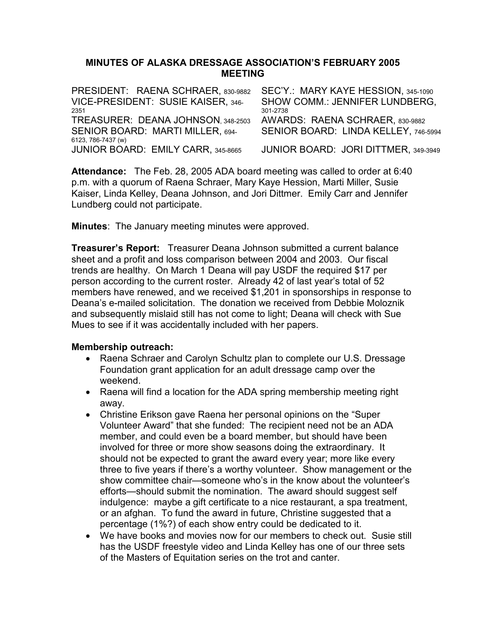### MINUTES OF ALASKA DRESSAGE ASSOCIATION'S FEBRUARY 2005 MEETING

| PRESIDENT: RAENA SCHRAER, 830-9882 | SEC'Y.: MARY KAYE HESSION, 345-1090   |
|------------------------------------|---------------------------------------|
| VICE-PRESIDENT: SUSIE KAISER, 346- | <b>SHOW COMM.: JENNIFER LUNDBERG.</b> |
| 2351                               | 301-2738                              |
| TREASURER: DEANA JOHNSON. 348-2503 | AWARDS: RAENA SCHRAER, 830-9882       |
| SENIOR BOARD: MARTI MILLER, 694-   | SENIOR BOARD: LINDA KELLEY, 746-5994  |
| 6123, 786-7437 (w)                 |                                       |
| JUNIOR BOARD: EMILY CARR, 345-8665 | JUNIOR BOARD: JORI DITTMER, 349-3949  |

Attendance: The Feb. 28, 2005 ADA board meeting was called to order at 6:40 p.m. with a quorum of Raena Schraer, Mary Kaye Hession, Marti Miller, Susie Kaiser, Linda Kelley, Deana Johnson, and Jori Dittmer. Emily Carr and Jennifer Lundberg could not participate.

**Minutes:** The January meeting minutes were approved.

Treasurer's Report: Treasurer Deana Johnson submitted a current balance sheet and a profit and loss comparison between 2004 and 2003. Our fiscal trends are healthy. On March 1 Deana will pay USDF the required \$17 per person according to the current roster. Already 42 of last year's total of 52 members have renewed, and we received \$1,201 in sponsorships in response to Deana's e-mailed solicitation. The donation we received from Debbie Moloznik and subsequently mislaid still has not come to light; Deana will check with Sue Mues to see if it was accidentally included with her papers.

### Membership outreach:

- Raena Schraer and Carolyn Schultz plan to complete our U.S. Dressage Foundation grant application for an adult dressage camp over the weekend.
- Raena will find a location for the ADA spring membership meeting right away.
- Christine Erikson gave Raena her personal opinions on the "Super Volunteer Award" that she funded: The recipient need not be an ADA member, and could even be a board member, but should have been involved for three or more show seasons doing the extraordinary. It should not be expected to grant the award every year; more like every three to five years if there's a worthy volunteer. Show management or the show committee chair—someone who's in the know about the volunteer's efforts—should submit the nomination. The award should suggest self indulgence: maybe a gift certificate to a nice restaurant, a spa treatment, or an afghan. To fund the award in future, Christine suggested that a percentage (1%?) of each show entry could be dedicated to it.
- We have books and movies now for our members to check out. Susie still has the USDF freestyle video and Linda Kelley has one of our three sets of the Masters of Equitation series on the trot and canter.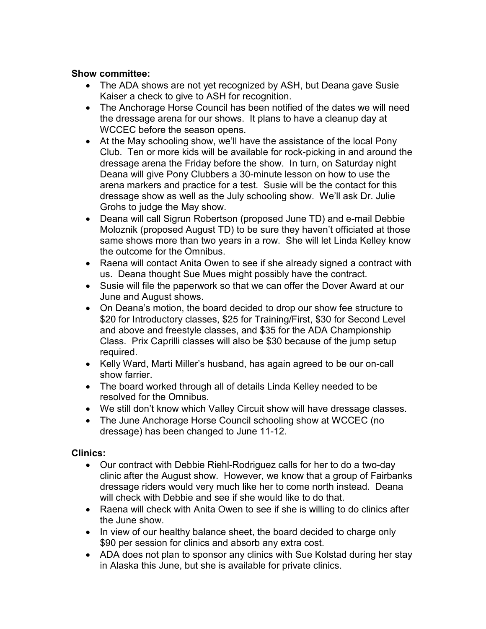### Show committee:

- The ADA shows are not yet recognized by ASH, but Deana gave Susie Kaiser a check to give to ASH for recognition.
- The Anchorage Horse Council has been notified of the dates we will need the dressage arena for our shows. It plans to have a cleanup day at WCCEC before the season opens.
- At the May schooling show, we'll have the assistance of the local Pony Club. Ten or more kids will be available for rock-picking in and around the dressage arena the Friday before the show. In turn, on Saturday night Deana will give Pony Clubbers a 30-minute lesson on how to use the arena markers and practice for a test. Susie will be the contact for this dressage show as well as the July schooling show. We'll ask Dr. Julie Grohs to judge the May show.
- Deana will call Sigrun Robertson (proposed June TD) and e-mail Debbie Moloznik (proposed August TD) to be sure they haven't officiated at those same shows more than two years in a row. She will let Linda Kelley know the outcome for the Omnibus.
- Raena will contact Anita Owen to see if she already signed a contract with us. Deana thought Sue Mues might possibly have the contract.
- Susie will file the paperwork so that we can offer the Dover Award at our June and August shows.
- On Deana's motion, the board decided to drop our show fee structure to \$20 for Introductory classes, \$25 for Training/First, \$30 for Second Level and above and freestyle classes, and \$35 for the ADA Championship Class. Prix Caprilli classes will also be \$30 because of the jump setup required.
- Kelly Ward, Marti Miller's husband, has again agreed to be our on-call show farrier.
- The board worked through all of details Linda Kelley needed to be resolved for the Omnibus.
- We still don't know which Valley Circuit show will have dressage classes.
- The June Anchorage Horse Council schooling show at WCCEC (no dressage) has been changed to June 11-12.

# Clinics:

- Our contract with Debbie Riehl-Rodriguez calls for her to do a two-day clinic after the August show. However, we know that a group of Fairbanks dressage riders would very much like her to come north instead. Deana will check with Debbie and see if she would like to do that.
- Raena will check with Anita Owen to see if she is willing to do clinics after the June show.
- In view of our healthy balance sheet, the board decided to charge only \$90 per session for clinics and absorb any extra cost.
- ADA does not plan to sponsor any clinics with Sue Kolstad during her stay in Alaska this June, but she is available for private clinics.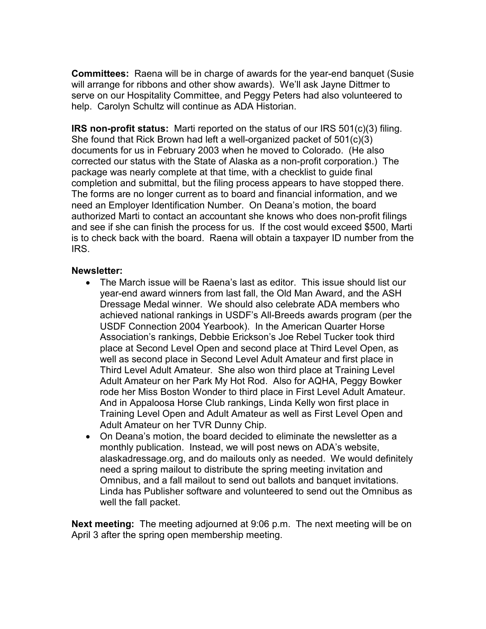Committees: Raena will be in charge of awards for the year-end banquet (Susie will arrange for ribbons and other show awards). We'll ask Jayne Dittmer to serve on our Hospitality Committee, and Peggy Peters had also volunteered to help. Carolyn Schultz will continue as ADA Historian.

IRS non-profit status: Marti reported on the status of our IRS 501(c)(3) filing. She found that Rick Brown had left a well-organized packet of 501(c)(3) documents for us in February 2003 when he moved to Colorado. (He also corrected our status with the State of Alaska as a non-profit corporation.) The package was nearly complete at that time, with a checklist to guide final completion and submittal, but the filing process appears to have stopped there. The forms are no longer current as to board and financial information, and we need an Employer Identification Number. On Deana's motion, the board authorized Marti to contact an accountant she knows who does non-profit filings and see if she can finish the process for us. If the cost would exceed \$500, Marti is to check back with the board. Raena will obtain a taxpayer ID number from the IRS.

### Newsletter:

- The March issue will be Raena's last as editor. This issue should list our year-end award winners from last fall, the Old Man Award, and the ASH Dressage Medal winner. We should also celebrate ADA members who achieved national rankings in USDF's All-Breeds awards program (per the USDF Connection 2004 Yearbook). In the American Quarter Horse Association's rankings, Debbie Erickson's Joe Rebel Tucker took third place at Second Level Open and second place at Third Level Open, as well as second place in Second Level Adult Amateur and first place in Third Level Adult Amateur. She also won third place at Training Level Adult Amateur on her Park My Hot Rod. Also for AQHA, Peggy Bowker rode her Miss Boston Wonder to third place in First Level Adult Amateur. And in Appaloosa Horse Club rankings, Linda Kelly won first place in Training Level Open and Adult Amateur as well as First Level Open and Adult Amateur on her TVR Dunny Chip.
- On Deana's motion, the board decided to eliminate the newsletter as a monthly publication. Instead, we will post news on ADA's website, alaskadressage.org, and do mailouts only as needed. We would definitely need a spring mailout to distribute the spring meeting invitation and Omnibus, and a fall mailout to send out ballots and banquet invitations. Linda has Publisher software and volunteered to send out the Omnibus as well the fall packet.

Next meeting: The meeting adjourned at 9:06 p.m. The next meeting will be on April 3 after the spring open membership meeting.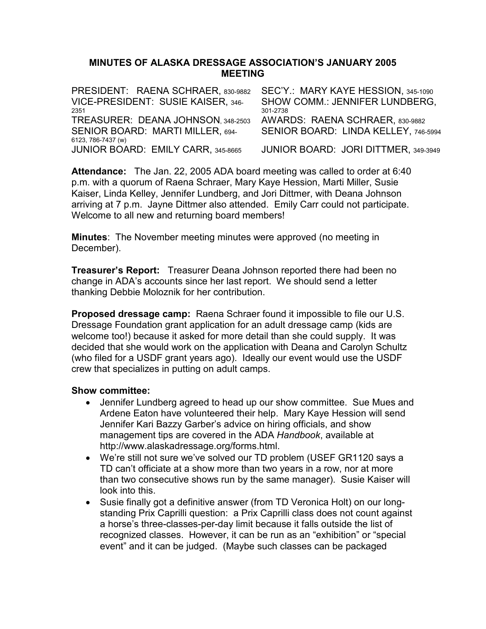### MINUTES OF ALASKA DRESSAGE ASSOCIATION'S JANUARY 2005 MEETING

PRESIDENT: RAENA SCHRAER, 830-9882 SEC'Y.: MARY KAYE HESSION, 345-1090 VICE-PRESIDENT: SUSIE KAISER, 346- <sup>2351</sup> SHOW COMM.: JENNIFER LUNDBERG, 301-2738 TREASURER: DEANA JOHNSON, 348-2503 AWARDS: RAENA SCHRAER, 830-9882 SENIOR BOARD: MARTI MILLER, 694- 6123, 786-7437 (w) SENIOR BOARD: LINDA KELLEY, 746-5994 JUNIOR BOARD: EMILY CARR, 345-8665 JUNIOR BOARD: JORI DITTMER, 349-3949

Attendance: The Jan. 22, 2005 ADA board meeting was called to order at 6:40 p.m. with a quorum of Raena Schraer, Mary Kaye Hession, Marti Miller, Susie Kaiser, Linda Kelley, Jennifer Lundberg, and Jori Dittmer, with Deana Johnson arriving at 7 p.m. Jayne Dittmer also attended. Emily Carr could not participate. Welcome to all new and returning board members!

Minutes: The November meeting minutes were approved (no meeting in December).

**Treasurer's Report:** Treasurer Deana Johnson reported there had been no change in ADA's accounts since her last report. We should send a letter thanking Debbie Moloznik for her contribution.

Proposed dressage camp: Raena Schraer found it impossible to file our U.S. Dressage Foundation grant application for an adult dressage camp (kids are welcome too!) because it asked for more detail than she could supply. It was decided that she would work on the application with Deana and Carolyn Schultz (who filed for a USDF grant years ago). Ideally our event would use the USDF crew that specializes in putting on adult camps.

- Jennifer Lundberg agreed to head up our show committee. Sue Mues and Ardene Eaton have volunteered their help. Mary Kaye Hession will send Jennifer Kari Bazzy Garber's advice on hiring officials, and show management tips are covered in the ADA Handbook, available at http://www.alaskadressage.org/forms.html.
- We're still not sure we've solved our TD problem (USEF GR1120 says a TD can't officiate at a show more than two years in a row, nor at more than two consecutive shows run by the same manager). Susie Kaiser will look into this.
- Susie finally got a definitive answer (from TD Veronica Holt) on our longstanding Prix Caprilli question: a Prix Caprilli class does not count against a horse's three-classes-per-day limit because it falls outside the list of recognized classes. However, it can be run as an "exhibition" or "special event" and it can be judged. (Maybe such classes can be packaged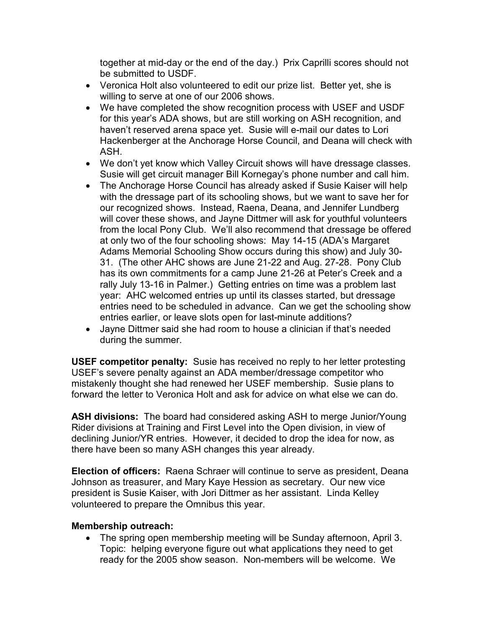together at mid-day or the end of the day.) Prix Caprilli scores should not be submitted to USDF.

- Veronica Holt also volunteered to edit our prize list. Better yet, she is willing to serve at one of our 2006 shows.
- We have completed the show recognition process with USEF and USDF for this year's ADA shows, but are still working on ASH recognition, and haven't reserved arena space yet. Susie will e-mail our dates to Lori Hackenberger at the Anchorage Horse Council, and Deana will check with ASH.
- We don't yet know which Valley Circuit shows will have dressage classes. Susie will get circuit manager Bill Kornegay's phone number and call him.
- The Anchorage Horse Council has already asked if Susie Kaiser will help with the dressage part of its schooling shows, but we want to save her for our recognized shows. Instead, Raena, Deana, and Jennifer Lundberg will cover these shows, and Jayne Dittmer will ask for youthful volunteers from the local Pony Club. We'll also recommend that dressage be offered at only two of the four schooling shows: May 14-15 (ADA's Margaret Adams Memorial Schooling Show occurs during this show) and July 30- 31. (The other AHC shows are June 21-22 and Aug. 27-28. Pony Club has its own commitments for a camp June 21-26 at Peter's Creek and a rally July 13-16 in Palmer.) Getting entries on time was a problem last year: AHC welcomed entries up until its classes started, but dressage entries need to be scheduled in advance. Can we get the schooling show entries earlier, or leave slots open for last-minute additions?
- Jayne Dittmer said she had room to house a clinician if that's needed during the summer.

USEF competitor penalty: Susie has received no reply to her letter protesting USEF's severe penalty against an ADA member/dressage competitor who mistakenly thought she had renewed her USEF membership. Susie plans to forward the letter to Veronica Holt and ask for advice on what else we can do.

ASH divisions: The board had considered asking ASH to merge Junior/Young Rider divisions at Training and First Level into the Open division, in view of declining Junior/YR entries. However, it decided to drop the idea for now, as there have been so many ASH changes this year already.

Election of officers: Raena Schraer will continue to serve as president, Deana Johnson as treasurer, and Mary Kaye Hession as secretary. Our new vice president is Susie Kaiser, with Jori Dittmer as her assistant. Linda Kelley volunteered to prepare the Omnibus this year.

### Membership outreach:

• The spring open membership meeting will be Sunday afternoon, April 3. Topic: helping everyone figure out what applications they need to get ready for the 2005 show season. Non-members will be welcome. We